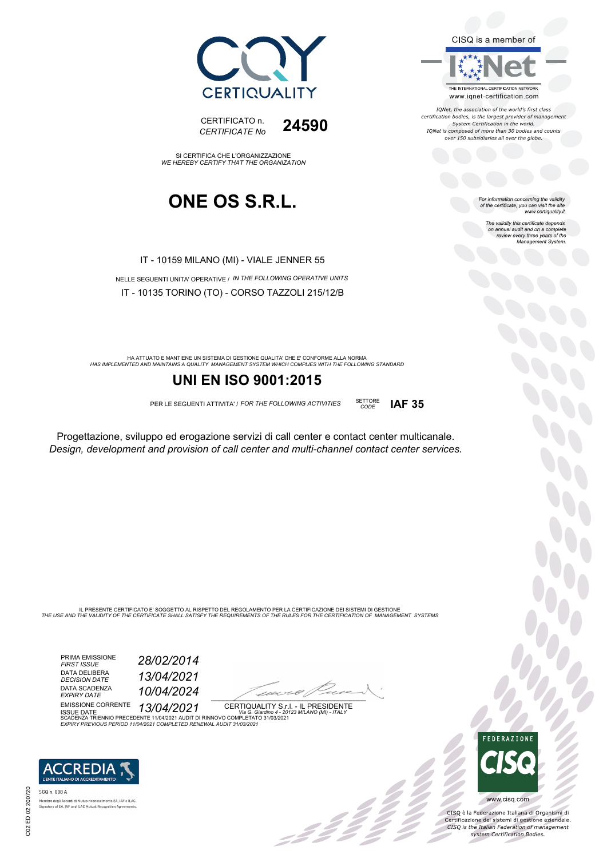



IONet, the association of the world's first class certification bodies, is the largest provider of management<br>System Certification in the world. IQNet is composed of more than 30 bodies and counts<br>over 150 subsidiaries all over the globe.

*CODE* **IAF 35**

For information concerning the validity<br>of the certificate, you can visit the site<br>www.certiquality.it

The validity this certificate depends on annual audit and on a complete review every three years of the Management System.



CERTIFICATO n. *CERTIFICATE No* **24590**

SI CERTIFICA CHE L'ORGANIZZAZIONE *WE HEREBY CERTIFY THAT THE ORGANIZATION*

### **ONE OS S.R.L.**

IT - 10159 MILANO (MI) - VIALE JENNER 55

NELLE SEGUENTI UNITA' OPERATIVE / *IN THE FOLLOWING OPERATIVE UNITS* IT - 10135 TORINO (TO) - CORSO TAZZOLI 215/12/B

HA ATTUATO E MANTIENE UN SISTEMA DI GESTIONE QUALITA' CHE E' CONFORME ALLA NORMA<br>HAS IMPLEMENTED AND MAINTAINS A QUALITY MANAGEMENT SYSTEM WHICH COMPLIES WITH THE FOLLOWING STANDARD

### **UNI EN ISO 9001:2015**

PER LE SEGUENTI ATTIVITA' / *FOR THE FOLLOWING ACTIVITIES* SETTORE

Progettazione, sviluppo ed erogazione servizi di call center e contact center multicanale. *Design, development and provision of call center and multi-channel contact center services.*

IL PRESENTE CERTIFICATO E' SOGGETTO AL RISPETTO DEL REGOLAMENTO PER LA CERTIFICAZIONE DEI SISTEMI DI GESTIONE<br>THE USE AND THE VALIDITY OF THE CERTIFICATE SHALL SATISFY THE REQUIREMENTS OF THE RULES FOR THE CERTIFICATION OF

PRIMA EMISSIONE *FIRST ISSUE 28/02/2014* DATA DELIBERA<br>DECISION DATE DATA SCADENZA *EXPIRY DATE 10/04/2024*

*DECISION DATE 13/04/2021*

 $\overline{\phantom{a}}$ 

:422

EMISSIONE CORRENTE ISSUE DATE *13/04/2021* CERTIQUALITY S.r.l. - IL PRESIDENTE SCADENZA TRIENNIO PRECEDENTE 11/04/2021 AUDIT DI RINNOVO COMPLETATO 31/03/2021 *Via G. Giardino 4 - 20123 MILANO (MI) - ITALY EXPIRY PREVIOUS PERIOD 11/04/2021 COMPLETED RENEWAL AUDIT 31/03/2021*



SGQ n. 008 A EA, IAF e ILAC nbro degu Accordi di Mutuo riconoscimenti<br>iatory of EA, IAF and ILAC Mutual Recognit

FEDERAZIONE

300

CISQ è la Federazione Italiana di Organismi di Certificazione dei sistemi di gestione aziendale.<br>CESQ is the Italian Federation of management system Certification Bodies.

www.cisq.com